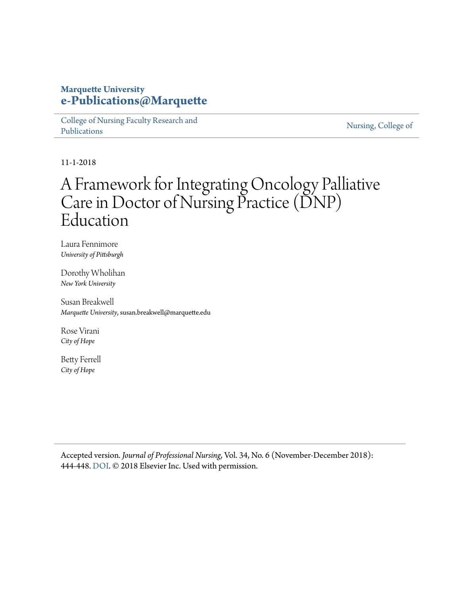## **Marquette University [e-Publications@Marquette](https://epublications.marquette.edu)**

[College of Nursing Faculty Research and](https://epublications.marquette.edu/nursing_fac) [Publications](https://epublications.marquette.edu/nursing_fac)

[Nursing, College of](https://epublications.marquette.edu/nursing)

11-1-2018

## A Framework for Integrating Oncology Palliative Care in Doctor of Nursing Practice (DNP) Education

Laura Fennimore *University of Pittsburgh*

Dorothy Wholihan *New York University*

Susan Breakwell *Marquette University*, susan.breakwell@marquette.edu

Rose Virani *City of Hope*

Betty Ferrell *City of Hope*

Accepted version*. Journal of Professional Nursing*, Vol. 34, No. 6 (November-December 2018): 444-448. [DOI.](https://doi.org/10.1016/j.profnurs.2018.09.003) © 2018 Elsevier Inc. Used with permission.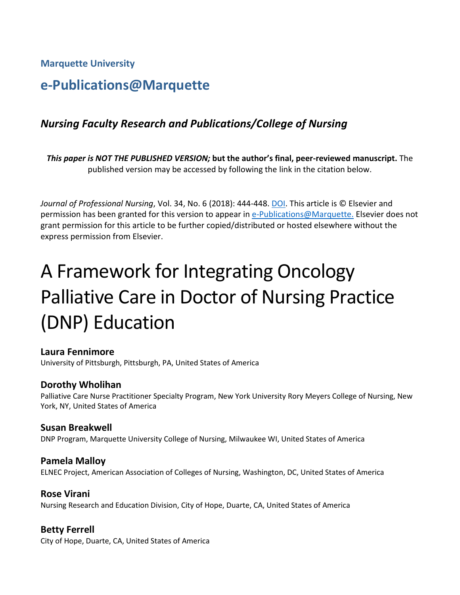**Marquette University**

## **e-Publications@Marquette**

## *Nursing Faculty Research and Publications/College of Nursing*

*This paper is NOT THE PUBLISHED VERSION;* **but the author's final, peer-reviewed manuscript.** The published version may be accessed by following the link in the citation below.

*Journal of Professional Nursing*, Vol. 34, No. 6 (2018): 444-448. DOI. This article is © Elsevier and permission has been granted for this version to appear in [e-Publications@Marquette.](http://epublications.marquette.edu/) Elsevier does not grant permission for this article to be further copied/distributed or hosted elsewhere without the express permission from Elsevier.

# A Framework for Integrating Oncology Palliative Care in Doctor of Nursing Practice (DNP) Education

#### **Laura Fennimore**

University of Pittsburgh, Pittsburgh, PA, United States of America

#### **Dorothy Wholihan**

Palliative Care Nurse Practitioner Specialty Program, New York University Rory Meyers College of Nursing, New York, NY, United States of America

#### **Susan Breakwell**

DNP Program, Marquette University College of Nursing, Milwaukee WI, United States of America

#### **Pamela Malloy**

ELNEC Project, American Association of Colleges of Nursing, Washington, DC, United States of America

#### **Rose Virani**

Nursing Research and Education Division, City of Hope, Duarte, CA, United States of America

#### **Betty Ferrell**

City of Hope, Duarte, CA, United States of America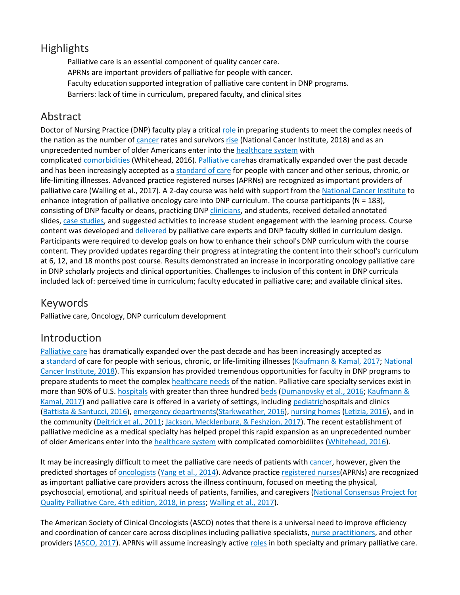## **Highlights**

Palliative care is an essential component of quality cancer care. APRNs are important providers of palliative for people with cancer. Faculty education supported integration of palliative care content in DNP programs. Barriers: lack of time in curriculum, prepared faculty, and clinical sites

## Abstract

Doctor of Nursing Practice (DNP) faculty play a critical [role](https://www.sciencedirect.com/topics/nursing-and-health-professions/role-playing) in preparing students to meet the complex needs of the nation as the number of [cancer](https://www.sciencedirect.com/topics/nursing-and-health-professions/malignant-neoplasm) rates and survivors [rise](https://www.sciencedirect.com/topics/nursing-and-health-professions/clotiazepam) (National Cancer Institute, 2018) and as an unprecedented number of older Americans enter into the [healthcare system](https://www.sciencedirect.com/topics/nursing-and-health-professions/health-care-system) with complicated [comorbidities](https://www.sciencedirect.com/topics/nursing-and-health-professions/comorbidity) (Whitehead, 2016). [Palliative careh](https://www.sciencedirect.com/topics/nursing-and-health-professions/palliative-therapy)as dramatically expanded over the past decade and has been increasingly accepted as a [standard of care](https://www.sciencedirect.com/topics/nursing-and-health-professions/health-care-quality) for people with cancer and other serious, chronic, or life-limiting illnesses. Advanced practice registered nurses (APRNs) are recognized as important providers of palliative care (Walling et al., 2017). A 2-day course was held with support from the [National Cancer Institute](https://www.sciencedirect.com/topics/nursing-and-health-professions/national-health-organization) to enhance integration of palliative oncology care into DNP curriculum. The course participants (N = 183), consisting of DNP faculty or deans, practicing DNP [clinicians,](https://www.sciencedirect.com/topics/nursing-and-health-professions/clinician) and students, received detailed annotated slides, [case studies,](https://www.sciencedirect.com/topics/nursing-and-health-professions/case-study) and suggested activities to increase student engagement with the learning process. Course content was developed and delivered by palliative care experts and DNP faculty skilled in curriculum design. Participants were required to develop goals on how to enhance their school's DNP curriculum with the course content. They provided updates regarding their progress at integrating the content into their school's curriculum at 6, 12, and 18 months post course. Results demonstrated an increase in incorporating oncology palliative care in DNP scholarly projects and clinical opportunities. Challenges to inclusion of this content in DNP curricula included lack of: perceived time in curriculum; faculty educated in palliative care; and available clinical sites.

## Keywords

Palliative care, Oncology, DNP curriculum development

## Introduction

[Palliative care](https://www.sciencedirect.com/topics/nursing-and-health-professions/palliative-therapy) has dramatically expanded over the past decade and has been increasingly accepted as a [standard](https://www.sciencedirect.com/topics/nursing-and-health-professions/standard) of care for people with serious, chronic, or life-limiting illnesses [\(Kaufmann & Kamal, 2017;](https://www.sciencedirect.com/science/article/pii/S875572231830142X?via%3Dihub#bb0090) National [Cancer Institute, 2018\)](https://www.sciencedirect.com/science/article/pii/S875572231830142X?via%3Dihub#bb0100). This expansion has provided tremendous opportunities for faculty in DNP programs to prepare students to meet the complex [healthcare needs](https://www.sciencedirect.com/topics/nursing-and-health-professions/health-care-need) of the nation. Palliative care specialty services exist in more than 90% of U.S. [hospitals](https://www.sciencedirect.com/topics/nursing-and-health-professions/hospital) with greater than three hundred [beds](https://www.sciencedirect.com/topics/nursing-and-health-professions/bed) [\(Dumanovsky et al., 2016;](https://www.sciencedirect.com/science/article/pii/S875572231830142X?via%3Dihub#bb0040) Kaufmann & [Kamal, 2017\)](https://www.sciencedirect.com/science/article/pii/S875572231830142X?via%3Dihub#bb0090) and palliative care is offered in a variety of settings, including [pediatrich](https://www.sciencedirect.com/topics/nursing-and-health-professions/pediatrics)ospitals and clinics [\(Battista & Santucci, 2016\)](https://www.sciencedirect.com/science/article/pii/S875572231830142X?via%3Dihub#bb0025), [emergency departments\(](https://www.sciencedirect.com/topics/nursing-and-health-professions/emergency-ward)[Starkweather, 2016\)](https://www.sciencedirect.com/science/article/pii/S875572231830142X?via%3Dihub#bb0130), [nursing homes](https://www.sciencedirect.com/topics/nursing-and-health-professions/nursing-home) [\(Letizia, 2016\)](https://www.sciencedirect.com/science/article/pii/S875572231830142X?via%3Dihub#bb0095), and in the community [\(Deitrick et al., 2011;](https://www.sciencedirect.com/science/article/pii/S875572231830142X?via%3Dihub#bb0035) [Jackson, Mecklenburg, & Feshzion, 2017\)](https://www.sciencedirect.com/science/article/pii/S875572231830142X?via%3Dihub#bb0080). The recent establishment of palliative medicine as a medical specialty has helped propel this rapid expansion as an unprecedented number of older Americans enter into the [healthcare system](https://www.sciencedirect.com/topics/nursing-and-health-professions/health-care-system) with complicated comorbidiites [\(Whitehead, 2016\)](https://www.sciencedirect.com/science/article/pii/S875572231830142X?via%3Dihub#bb0145).

It may be increasingly difficult to meet the palliative care needs of patients with [cancer,](https://www.sciencedirect.com/topics/nursing-and-health-professions/malignant-neoplasm) however, given the predicted shortages of [oncologists](https://www.sciencedirect.com/topics/nursing-and-health-professions/oncologist) [\(Yang et al., 2014\)](https://www.sciencedirect.com/science/article/pii/S875572231830142X?via%3Dihub#bb0160). Advance practice [registered nurses\(](https://www.sciencedirect.com/topics/nursing-and-health-professions/registered-nurse)APRNs) are recognized as important palliative care providers across the illness continuum, focused on meeting the physical, psychosocial, emotional, and spiritual needs of patients, families, and caregivers [\(National Consensus Project for](https://www.sciencedirect.com/science/article/pii/S875572231830142X?via%3Dihub#bb0105)  [Quality Palliative Care, 4th edition, 2018, in press;](https://www.sciencedirect.com/science/article/pii/S875572231830142X?via%3Dihub#bb0105) [Walling et al., 2017\)](https://www.sciencedirect.com/science/article/pii/S875572231830142X?via%3Dihub#bb0140).

The American Society of Clinical Oncologists (ASCO) notes that there is a universal need to improve efficiency and coordination of cancer care across disciplines including palliative specialists, [nurse practitioners,](https://www.sciencedirect.com/topics/nursing-and-health-professions/nurse-practitioner) and other providers [\(ASCO, 2017\)](https://www.sciencedirect.com/science/article/pii/S875572231830142X?via%3Dihub#bb0020). APRNs will assume increasingly active [roles](https://www.sciencedirect.com/topics/nursing-and-health-professions/role-playing) in both specialty and primary palliative care.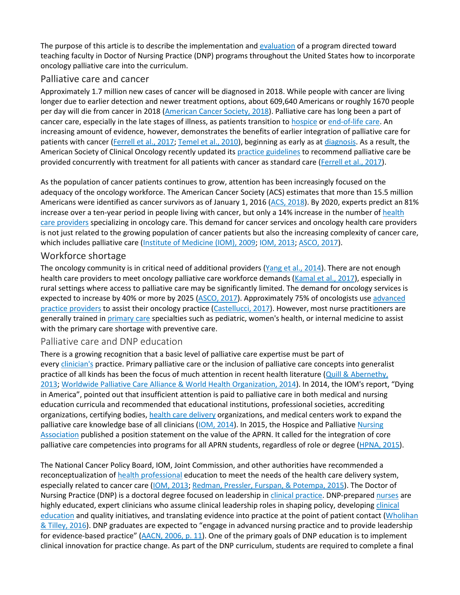The purpose of this article is to describe the implementation and [evaluation](https://www.sciencedirect.com/topics/nursing-and-health-professions/evaluation-study) of a program directed toward teaching faculty in Doctor of Nursing Practice (DNP) programs throughout the United States how to incorporate oncology palliative care into the curriculum.

#### Palliative care and cancer

Approximately 1.7 million new cases of cancer will be diagnosed in 2018. While people with cancer are living longer due to earlier detection and newer treatment options, about 609,640 Americans or roughly 1670 people per day will die from cancer in 2018 [\(American Cancer Society, 2018\)](https://www.sciencedirect.com/science/article/pii/S875572231830142X?via%3Dihub#bb0015). Palliative care has long been a part of cancer care, especially in the late stages of illness, as patients transition to [hospice](https://www.sciencedirect.com/topics/nursing-and-health-professions/hospice) or [end-of-life care.](https://www.sciencedirect.com/topics/nursing-and-health-professions/terminal-care) An increasing amount of evidence, however, demonstrates the benefits of earlier integration of palliative care for patients with cancer [\(Ferrell et al., 2017;](https://www.sciencedirect.com/science/article/pii/S875572231830142X?via%3Dihub#bb0050) [Temel et al., 2010\)](https://www.sciencedirect.com/science/article/pii/S875572231830142X?via%3Dihub#bb0135), beginning as early as at [diagnosis.](https://www.sciencedirect.com/topics/nursing-and-health-professions/diagnosis) As a result, the American Society of Clinical Oncology recently updated its [practice guidelines](https://www.sciencedirect.com/topics/nursing-and-health-professions/practice-guideline) to recommend palliative care be provided concurrently with treatment for all patients with cancer as standard care [\(Ferrell et al., 2017\)](https://www.sciencedirect.com/science/article/pii/S875572231830142X?via%3Dihub#bb0050).

As the population of cancer patients continues to grow, attention has been increasingly focused on the adequacy of the oncology workforce. The American Cancer Society (ACS) estimates that more than 15.5 million Americans were identified as cancer survivors as of January 1, 2016 [\(ACS, 2018\)](https://www.sciencedirect.com/science/article/pii/S875572231830142X?via%3Dihub#bb0015). By 2020, experts predict an 81% increase over a ten-year period in people living with cancer, but only a 14% increase in the number of health [care providers](https://www.sciencedirect.com/topics/nursing-and-health-professions/health-care-personnel) specializing in oncology care. This demand for cancer services and oncology health care providers is not just related to the growing population of cancer patients but also the increasing complexity of cancer care, which includes palliative care [\(Institute of Medicine \(IOM\), 2009;](https://www.sciencedirect.com/science/article/pii/S875572231830142X?via%3Dihub#bb0060) [IOM, 2013;](https://www.sciencedirect.com/science/article/pii/S875572231830142X?via%3Dihub#bb0070) [ASCO, 2017\)](https://www.sciencedirect.com/science/article/pii/S875572231830142X?via%3Dihub#bb0020).

#### Workforce shortage

The oncology community is in critical need of additional providers [\(Yang et al., 2014\)](https://www.sciencedirect.com/science/article/pii/S875572231830142X?via%3Dihub#bb0160). There are not enough health care providers to meet oncology palliative care workforce demands [\(Kamal et al., 2017\)](https://www.sciencedirect.com/science/article/pii/S875572231830142X?via%3Dihub#bb0085), especially in rural settings where access to palliative care may be significantly limited. The demand for oncology services is expected to increase by 40% or more by 2025 [\(ASCO, 2017\)](https://www.sciencedirect.com/science/article/pii/S875572231830142X?via%3Dihub#bb0020). Approximately 75% of oncologists use [advanced](https://www.sciencedirect.com/topics/nursing-and-health-professions/mid-level-practitioner)  [practice providers](https://www.sciencedirect.com/topics/nursing-and-health-professions/mid-level-practitioner) to assist their oncology practice [\(Castellucci, 2017\)](https://www.sciencedirect.com/science/article/pii/S875572231830142X?via%3Dihub#bb0030). However, most nurse practitioners are generally trained in [primary care](https://www.sciencedirect.com/topics/nursing-and-health-professions/primary-medical-care) specialties such as pediatric, women's health, or internal medicine to assist with the primary care shortage with preventive care.

#### Palliative care and DNP education

There is a growing recognition that a basic level of palliative care expertise must be part of every [clinician's](https://www.sciencedirect.com/topics/nursing-and-health-professions/clinician) practice. Primary palliative care or the inclusion of palliative care concepts into generalist practice of all kinds has been the focus of much attention in recent health literature [\(Quill & Abernethy,](https://www.sciencedirect.com/science/article/pii/S875572231830142X?via%3Dihub#bb0120)  [2013;](https://www.sciencedirect.com/science/article/pii/S875572231830142X?via%3Dihub#bb0120) [Worldwide Palliative Care Alliance & World Health Organization, 2014\)](https://www.sciencedirect.com/science/article/pii/S875572231830142X?via%3Dihub#bb0155). In 2014, the IOM's report, "Dying in America", pointed out that insufficient attention is paid to palliative care in both medical and nursing education curricula and recommended that educational institutions, professional societies, accrediting organizations, certifying bodies, [health care delivery](https://www.sciencedirect.com/topics/nursing-and-health-professions/health-care-delivery) organizations, and medical centers work to expand the palliative care knowledge base of all clinicians [\(IOM, 2014\)](https://www.sciencedirect.com/science/article/pii/S875572231830142X?via%3Dihub#bb0075). In 2015, the Hospice and Palliative Nursing [Association](https://www.sciencedirect.com/topics/nursing-and-health-professions/nursing-organization) published a position statement on the value of the APRN. It called for the integration of core palliative care competencies into programs for all APRN students, regardless of role or degree [\(HPNA, 2015\)](https://www.sciencedirect.com/science/article/pii/S875572231830142X?via%3Dihub#bb0055).

The National Cancer Policy Board, IOM, Joint Commission, and other authorities have recommended a reconceptualization of [health professional](https://www.sciencedirect.com/topics/nursing-and-health-professions/health-practitioner) education to meet the needs of the health care delivery system, especially related to cancer care [\(IOM,](https://www.sciencedirect.com/science/article/pii/S875572231830142X?via%3Dihub#bb0070) 2013; [Redman, Pressler, Furspan, & Potempa, 2015\)](https://www.sciencedirect.com/science/article/pii/S875572231830142X?via%3Dihub#bb0125). The Doctor of Nursing Practice (DNP) is a doctoral degree focused on leadership in [clinical practice.](https://www.sciencedirect.com/topics/nursing-and-health-professions/clinical-practice) DNP-prepared [nurses](https://www.sciencedirect.com/topics/nursing-and-health-professions/nurse) are highly educated, expert clinicians who assume clinical leadership roles in shaping policy, developing [clinical](https://www.sciencedirect.com/topics/nursing-and-health-professions/clinical-education)  [education](https://www.sciencedirect.com/topics/nursing-and-health-professions/clinical-education) and quality initiatives, and translating evidence into practice at the point of patient contact (Wholihan [& Tilley, 2016\)](https://www.sciencedirect.com/science/article/pii/S875572231830142X?via%3Dihub#bb0150). DNP graduates are expected to "engage in advanced nursing practice and to provide leadership for evidence-based practice" [\(AACN, 2006, p. 11\)](https://www.sciencedirect.com/science/article/pii/S875572231830142X?via%3Dihub#bb0005). One of the primary goals of DNP education is to implement clinical innovation for practice change. As part of the DNP curriculum, students are required to complete a final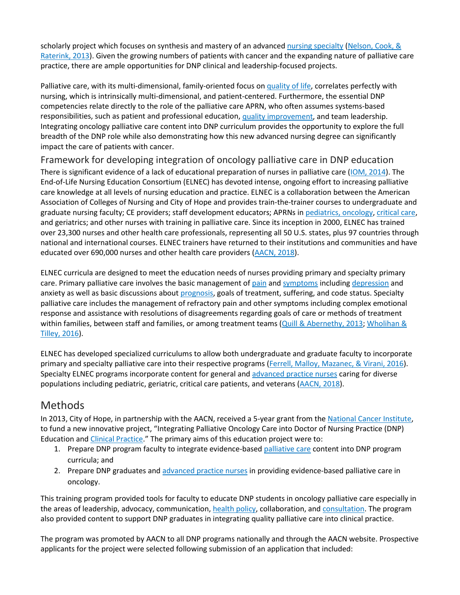scholarly project which focuses on synthesis and mastery of an advanced [nursing specialty](https://www.sciencedirect.com/topics/nursing-and-health-professions/nursing-discipline) [\(Nelson, Cook, &](https://www.sciencedirect.com/science/article/pii/S875572231830142X?via%3Dihub#bb0115) [Raterink, 2013\)](https://www.sciencedirect.com/science/article/pii/S875572231830142X?via%3Dihub#bb0115). Given the growing numbers of patients with cancer and the expanding nature of palliative care practice, there are ample opportunities for DNP clinical and leadership-focused projects.

Palliative care, with its multi-dimensional, family-oriented focus on [quality of life,](https://www.sciencedirect.com/topics/nursing-and-health-professions/quality-of-life) correlates perfectly with nursing, which is intrinsically multi-dimensional, and patient-centered. Furthermore, the essential DNP competencies relate directly to the role of the palliative care APRN, who often assumes systems-based responsibilities, such as patient and professional education, [quality improvement,](https://www.sciencedirect.com/topics/nursing-and-health-professions/total-quality-management) and team leadership. Integrating oncology palliative care content into DNP curriculum provides the opportunity to explore the full breadth of the DNP role while also demonstrating how this new advanced nursing degree can significantly impact the care of patients with cancer.

Framework for developing integration of oncology palliative care in DNP education There is significant evidence of a lack of educational preparation of nurses in palliative care [\(IOM, 2014\)](https://www.sciencedirect.com/science/article/pii/S875572231830142X?via%3Dihub#bb0075). The End-of-Life Nursing Education Consortium (ELNEC) has devoted intense, ongoing effort to increasing palliative care knowledge at all levels of nursing education and practice. ELNEC is a collaboration between the American Association of Colleges of Nursing and City of Hope and provides train-the-trainer courses to undergraduate and graduate nursing faculty; CE providers; staff development educators; APRNs in [pediatrics, oncology,](https://www.sciencedirect.com/topics/nursing-and-health-professions/childhood-cancer) [critical care,](https://www.sciencedirect.com/topics/nursing-and-health-professions/intensive-care) and geriatrics; and other nurses with training in palliative care. Since its inception in 2000, ELNEC has trained over 23,300 nurses and other health care professionals, representing all 50 U.S. states, plus 97 countries through national and international courses. ELNEC trainers have returned to their institutions and communities and have educated over 690,000 nurses and other health care providers [\(AACN, 2018\)](https://www.sciencedirect.com/science/article/pii/S875572231830142X?via%3Dihub#bb0010).

ELNEC curricula are designed to meet the education needs of nurses providing primary and specialty primary care. Primary palliative care involves the basic management of [pain](https://www.sciencedirect.com/topics/nursing-and-health-professions/pain) and [symptoms](https://www.sciencedirect.com/topics/nursing-and-health-professions/symptom) including [depression](https://www.sciencedirect.com/topics/nursing-and-health-professions/depression) and anxiety as well as basic discussions about [prognosis,](https://www.sciencedirect.com/topics/nursing-and-health-professions/prognosis) goals of treatment, suffering, and code status. Specialty palliative care includes the management of refractory pain and other symptoms including complex emotional response and assistance with resolutions of disagreements regarding goals of care or methods of treatment within families, between staff and families, or among treatment teams [\(Quill & Abernethy, 2013;](https://www.sciencedirect.com/science/article/pii/S875572231830142X?via%3Dihub#bb0120) Wholihan & [Tilley, 2016\)](https://www.sciencedirect.com/science/article/pii/S875572231830142X?via%3Dihub#bb0150).

ELNEC has developed specialized curriculums to allow both undergraduate and graduate faculty to incorporate primary and specialty palliative care into their respective programs [\(Ferrell, Malloy, Mazanec, & Virani, 2016\)](https://www.sciencedirect.com/science/article/pii/S875572231830142X?via%3Dihub#bb0045). Specialty ELNEC programs incorporate content for general and [advanced practice nurses](https://www.sciencedirect.com/topics/nursing-and-health-professions/advanced-practice-nurse) caring for diverse populations including pediatric, geriatric, critical care patients, and veterans [\(AACN, 2018\)](https://www.sciencedirect.com/science/article/pii/S875572231830142X?via%3Dihub#bb0010).

## Methods

In 2013, City of Hope, in partnership with the AACN, received a 5-year grant from the [National Cancer Institute,](https://www.sciencedirect.com/topics/nursing-and-health-professions/national-health-organization) to fund a new innovative project, "Integrating Palliative Oncology Care into Doctor of Nursing Practice (DNP) Education and [Clinical Practice.](https://www.sciencedirect.com/topics/nursing-and-health-professions/clinical-practice)" The primary aims of this education project were to:

- 1. Prepare DNP program faculty to integrate evidence-based [palliative care](https://www.sciencedirect.com/topics/nursing-and-health-professions/palliative-therapy) content into DNP program curricula; and
- 2. Prepare DNP graduates and [advanced practice nurses](https://www.sciencedirect.com/topics/nursing-and-health-professions/advanced-practice-nurse) in providing evidence-based palliative care in oncology.

This training program provided tools for faculty to educate DNP students in oncology palliative care especially in the areas of leadership, advocacy, communication, [health policy,](https://www.sciencedirect.com/topics/nursing-and-health-professions/health-care-policy) collaboration, and [consultation.](https://www.sciencedirect.com/topics/nursing-and-health-professions/consultation) The program also provided content to support DNP graduates in integrating quality palliative care into clinical practice.

The program was promoted by AACN to all DNP programs nationally and through the AACN website. Prospective applicants for the project were selected following submission of an application that included: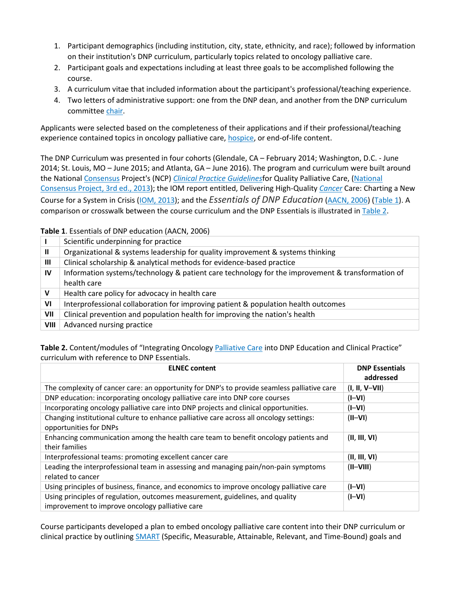- 1. Participant demographics (including institution, city, state, ethnicity, and race); followed by information on their institution's DNP curriculum, particularly topics related to oncology palliative care.
- 2. Participant goals and expectations including at least three goals to be accomplished following the course.
- 3. A curriculum vitae that included information about the participant's professional/teaching experience.
- 4. Two letters of administrative support: one from the DNP dean, and another from the DNP curriculum committee [chair.](https://www.sciencedirect.com/topics/nursing-and-health-professions/chair)

Applicants were selected based on the completeness of their applications and if their professional/teaching experience contained topics in oncology palliative care, [hospice,](https://www.sciencedirect.com/topics/nursing-and-health-professions/hospice) or end-of-life content.

The DNP Curriculum was presented in four cohorts (Glendale, CA – February 2014; Washington, D.C. - June 2014; St. Louis, MO – June 2015; and Atlanta, GA – June 2016). The program and curriculum were built around the National [Consensus](https://www.sciencedirect.com/topics/nursing-and-health-professions/consensus) Project's (NCP) *[Clinical Practice Guidelines](https://www.sciencedirect.com/topics/nursing-and-health-professions/practice-guideline)*for Quality Palliative Care, [\(National](https://www.sciencedirect.com/science/article/pii/S875572231830142X?via%3Dihub#bb0110)  [Consensus Project, 3rd ed., 2013\)](https://www.sciencedirect.com/science/article/pii/S875572231830142X?via%3Dihub#bb0110); the IOM report entitled, Delivering High-Quality *[Cancer](https://www.sciencedirect.com/topics/nursing-and-health-professions/malignant-neoplasm)* Care: Charting a New Course for a System in Crisis [\(IOM, 2013\)](https://www.sciencedirect.com/science/article/pii/S875572231830142X?via%3Dihub#bb0070); and the *Essentials of DNP Education* [\(AACN, 2006\)](https://www.sciencedirect.com/science/article/pii/S875572231830142X?via%3Dihub#bb0005) [\(Table 1\)](https://www.sciencedirect.com/science/article/pii/S875572231830142X?via%3Dihub#t0005). A comparison or crosswalk between the course curriculum and the DNP Essentials is illustrated in [Table 2.](https://www.sciencedirect.com/science/article/pii/S875572231830142X?via%3Dihub#t0010)

#### **Table 1**. Essentials of DNP education [\(AACN, 2006\)](https://www.sciencedirect.com/science/article/pii/S875572231830142X?via%3Dihub#bb0005)

|              | Scientific underpinning for practice                                                                            |
|--------------|-----------------------------------------------------------------------------------------------------------------|
| $\mathbf{I}$ | Organizational & systems leadership for quality improvement & systems thinking                                  |
| Ш            | Clinical scholarship & analytical methods for evidence-based practice                                           |
| IV           | Information systems/technology & patient care technology for the improvement & transformation of<br>health care |
| V            | Health care policy for advocacy in health care                                                                  |
| VI           | Interprofessional collaboration for improving patient & population health outcomes                              |
| VII          | Clinical prevention and population health for improving the nation's health                                     |
| VIII         | Advanced nursing practice                                                                                       |

**Table 2.** Content/modules of "Integrating Oncology [Palliative Care](https://www.sciencedirect.com/topics/nursing-and-health-professions/palliative-therapy) into DNP Education and Clinical Practice" curriculum with reference to DNP Essentials.

| <b>ELNEC content</b>                                                                                                             | <b>DNP Essentials</b><br>addressed |
|----------------------------------------------------------------------------------------------------------------------------------|------------------------------------|
| The complexity of cancer care: an opportunity for DNP's to provide seamless palliative care                                      | $(I, II, V-VII)$                   |
| DNP education: incorporating oncology palliative care into DNP core courses                                                      | $(IV-I)$                           |
| Incorporating oncology palliative care into DNP projects and clinical opportunities.                                             | $(IV-I)$                           |
| Changing institutional culture to enhance palliative care across all oncology settings:<br>opportunities for DNPs                | $(II-VI)$                          |
| Enhancing communication among the health care team to benefit oncology patients and<br>their families                            | (II, III, VI)                      |
| Interprofessional teams: promoting excellent cancer care                                                                         | (II, III, VI)                      |
| Leading the interprofessional team in assessing and managing pain/non-pain symptoms<br>related to cancer                         | $(II-VIII)$                        |
| Using principles of business, finance, and economics to improve oncology palliative care                                         | $(I-VI)$                           |
| Using principles of regulation, outcomes measurement, guidelines, and quality<br>improvement to improve oncology palliative care | $(IV-I)$                           |

Course participants developed a plan to embed oncology palliative care content into their DNP curriculum or clinical practice by outlining [SMART](https://www.sciencedirect.com/topics/nursing-and-health-professions/nitinol-stent) (Specific, Measurable, Attainable, Relevant, and Time-Bound) goals and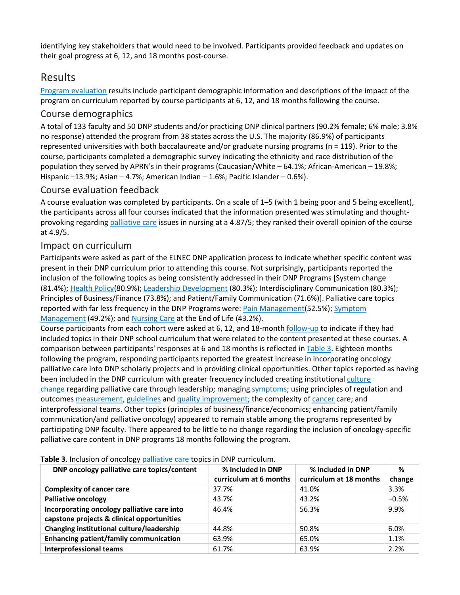identifying key stakeholders that would need to be involved. Participants provided feedback and updates on their goal progress at 6, 12, and 18 months post-course.

## Results

[Program evaluation](https://www.sciencedirect.com/topics/nursing-and-health-professions/program-evaluation) results include participant demographic information and descriptions of the impact of the program on curriculum reported by course participants at 6, 12, and 18 months following the course.

#### Course demographics

A total of 133 faculty and 50 DNP students and/or practicing DNP clinical partners (90.2% female; 6% male; 3.8% no response) attended the program from 38 states across the U.S. The majority (86.9%) of participants represented universities with both baccalaureate and/or graduate nursing programs (n = 119). Prior to the course, participants completed a demographic survey indicating the ethnicity and race distribution of the population they served by APRN's in their programs (Caucasian/White – 64.1%; African-American – 19.8%; Hispanic −13.9%; Asian – 4.7%; American Indian – 1.6%; Pacific Islander – 0.6%).

#### Course evaluation feedback

A course evaluation was completed by participants. On a scale of 1–5 (with 1 being poor and 5 being excellent), the participants across all four courses indicated that the information presented was stimulating and thoughtprovoking regarding [palliative care](https://www.sciencedirect.com/topics/nursing-and-health-professions/palliative-therapy) issues in nursing at a 4.87/5; they ranked their overall opinion of the course at 4.9/5.

#### Impact on curriculum

Participants were asked as part of the ELNEC DNP application process to indicate whether specific content was present in their DNP curriculum prior to attending this course. Not surprisingly, participants reported the inclusion of the following topics as being consistently addressed in their DNP Programs [System change (81.4%); [Health Policy\(](https://www.sciencedirect.com/topics/nursing-and-health-professions/health-care-policy)80.9%); [Leadership Development](https://www.sciencedirect.com/topics/nursing-and-health-professions/leadership-development) (80.3%); Interdisciplinary Communication (80.3%); Principles of Business/Finance (73.8%); and Patient/Family Communication (71.6%)]. Palliative care topics reported with far less frequency in the DNP Programs were: [Pain Management\(](https://www.sciencedirect.com/topics/nursing-and-health-professions/analgesia)52.5%); Symptom [Management](https://www.sciencedirect.com/topics/nursing-and-health-professions/symptom-management) (49.2%); and [Nursing Care](https://www.sciencedirect.com/topics/nursing-and-health-professions/nursing-care) at the End of Life (43.2%).

Course participants from each cohort were asked at 6, 12, and 18-month [follow-up](https://www.sciencedirect.com/topics/nursing-and-health-professions/follow-up) to indicate if they had included topics in their DNP school curriculum that were related to the content presented at these courses. A comparison between participants' responses at 6 and 18 months is reflected in [Table 3.](https://www.sciencedirect.com/science/article/pii/S875572231830142X?via%3Dihub#t0015) Eighteen months following the program, responding participants reported the greatest increase in incorporating oncology palliative care into DNP scholarly projects and in providing clinical opportunities. Other topics reported as having been included in the DNP curriculum with greater frequency included creating institutional [culture](https://www.sciencedirect.com/topics/nursing-and-health-professions/change-culture)  [change](https://www.sciencedirect.com/topics/nursing-and-health-professions/change-culture) regarding palliative care through leadership; managing [symptoms;](https://www.sciencedirect.com/topics/nursing-and-health-professions/symptom) using principles of regulation and outcomes [measurement,](https://www.sciencedirect.com/topics/nursing-and-health-professions/measurement) [guidelines](https://www.sciencedirect.com/topics/nursing-and-health-professions/practice-guideline) and [quality improvement;](https://www.sciencedirect.com/topics/nursing-and-health-professions/total-quality-management) the complexity of [cancer](https://www.sciencedirect.com/topics/nursing-and-health-professions/malignant-neoplasm) care; and interprofessional teams. Other topics (principles of business/finance/economics; enhancing patient/family communication/and palliative oncology) appeared to remain stable among the programs represented by participating DNP faculty. There appeared to be little to no change regarding the inclusion of oncology-specific palliative care content in DNP programs 18 months following the program.

| <b>Table 3.</b> Inclusion of oncology palliative cale topics in DNF curriculum. |                        |                         |         |  |  |  |  |
|---------------------------------------------------------------------------------|------------------------|-------------------------|---------|--|--|--|--|
| DNP oncology palliative care topics/content                                     | % included in DNP      | % included in DNP       | %       |  |  |  |  |
|                                                                                 | curriculum at 6 months | curriculum at 18 months | change  |  |  |  |  |
| <b>Complexity of cancer care</b>                                                | 37.7%                  | 41.0%                   | 3.3%    |  |  |  |  |
| <b>Palliative oncology</b>                                                      | 43.7%                  | 43.2%                   | $-0.5%$ |  |  |  |  |
| Incorporating oncology palliative care into                                     | 46.4%                  | 56.3%                   | 9.9%    |  |  |  |  |
| capstone projects & clinical opportunities                                      |                        |                         |         |  |  |  |  |
| Changing institutional culture/leadership                                       | 44.8%                  | 50.8%                   | 6.0%    |  |  |  |  |
| <b>Enhancing patient/family communication</b>                                   | 63.9%                  | 65.0%                   | 1.1%    |  |  |  |  |
| <b>Interprofessional teams</b>                                                  | 61.7%                  | 63.9%                   | 2.2%    |  |  |  |  |
|                                                                                 |                        |                         |         |  |  |  |  |

**Table 3**. Inclusion of oncology [palliative care](https://www.sciencedirect.com/topics/nursing-and-health-professions/palliative-therapy) topics in DNP curriculum.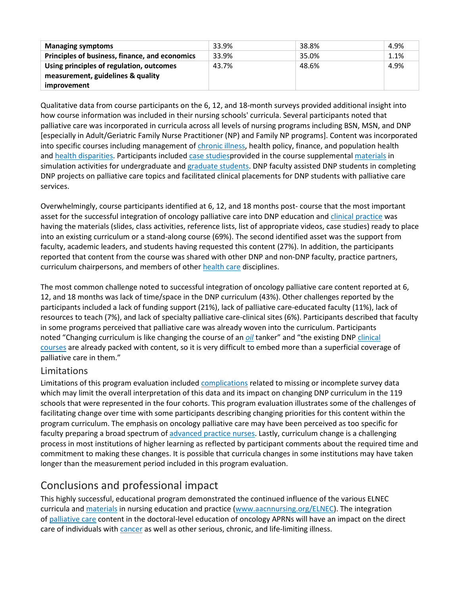| <b>Managing symptoms</b>                       | 33.9% | 38.8% | 4.9% |
|------------------------------------------------|-------|-------|------|
| Principles of business, finance, and economics | 33.9% | 35.0% | 1.1% |
| Using principles of regulation, outcomes       | 43.7% | 48.6% | 4.9% |
| measurement, guidelines & quality              |       |       |      |
| <i>improvement</i>                             |       |       |      |

Qualitative data from course participants on the 6, 12, and 18-month surveys provided additional insight into how course information was included in their nursing schools' curricula. Several participants noted that palliative care was incorporated in curricula across all levels of nursing programs including BSN, MSN, and DNP [especially in Adult/Geriatric Family Nurse Practitioner (NP) and Family NP programs]. Content was incorporated into specific courses including management of [chronic illness,](https://www.sciencedirect.com/topics/nursing-and-health-professions/chronic-disease) health policy, finance, and population health and [health disparities.](https://www.sciencedirect.com/topics/nursing-and-health-professions/health-disparity) Participants included [case studiesp](https://www.sciencedirect.com/topics/nursing-and-health-professions/case-study)rovided in the course supplemental [materials](https://www.sciencedirect.com/topics/nursing-and-health-professions/device-material) in simulation activities for undergraduate and [graduate students.](https://www.sciencedirect.com/topics/nursing-and-health-professions/graduate-student) DNP faculty assisted DNP students in completing DNP projects on palliative care topics and facilitated clinical placements for DNP students with palliative care services.

Overwhelmingly, course participants identified at 6, 12, and 18 months post- course that the most important asset for the successful integration of oncology palliative care into DNP education and [clinical practice](https://www.sciencedirect.com/topics/nursing-and-health-professions/clinical-practice) was having the materials (slides, class activities, reference lists, list of appropriate videos, case studies) ready to place into an existing curriculum or a stand-along course (69%). The second identified asset was the support from faculty, academic leaders, and students having requested this content (27%). In addition, the participants reported that content from the course was shared with other DNP and non-DNP faculty, practice partners, curriculum chairpersons, and members of other [health care](https://www.sciencedirect.com/topics/nursing-and-health-professions/health-care) disciplines.

The most common challenge noted to successful integration of oncology palliative care content reported at 6, 12, and 18 months was lack of time/space in the DNP curriculum (43%). Other challenges reported by the participants included a lack of funding support (21%), lack of palliative care-educated faculty (11%), lack of resources to teach (7%), and lack of specialty palliative care-clinical sites (6%). Participants described that faculty in some programs perceived that palliative care was already woven into the curriculum. Participants noted "Changing curriculum is like changing the course of an *[oil](https://www.sciencedirect.com/topics/nursing-and-health-professions/oil)* tanker" and "the existing DNP [clinical](https://www.sciencedirect.com/topics/nursing-and-health-professions/disease-course)  [courses](https://www.sciencedirect.com/topics/nursing-and-health-professions/disease-course) are already packed with content, so it is very difficult to embed more than a superficial coverage of palliative care in them."

#### Limitations

Limitations of this program evaluation included [complications](https://www.sciencedirect.com/topics/nursing-and-health-professions/complication) related to missing or incomplete survey data which may limit the overall interpretation of this data and its impact on changing DNP curriculum in the 119 schools that were represented in the four cohorts. This program evaluation illustrates some of the challenges of facilitating change over time with some participants describing changing priorities for this content within the program curriculum. The emphasis on oncology palliative care may have been perceived as too specific for faculty preparing a broad spectrum of [advanced practice nurses.](https://www.sciencedirect.com/topics/nursing-and-health-professions/advanced-practice-nurse) Lastly, curriculum change is a challenging process in most institutions of higher learning as reflected by participant comments about the required time and commitment to making these changes. It is possible that curricula changes in some institutions may have taken longer than the measurement period included in this program evaluation.

## Conclusions and professional impact

This highly successful, educational program demonstrated the continued influence of the various ELNEC curricula and [materials](https://www.sciencedirect.com/topics/nursing-and-health-professions/device-material) in nursing education and practice [\(www.aacnnursing.org/ELNEC\)](http://www.aacnnursing.org/ELNEC). The integration of [palliative care](https://www.sciencedirect.com/topics/nursing-and-health-professions/palliative-therapy) content in the doctoral-level education of oncology APRNs will have an impact on the direct care of individuals with [cancer](https://www.sciencedirect.com/topics/nursing-and-health-professions/malignant-neoplasm) as well as other serious, chronic, and life-limiting illness.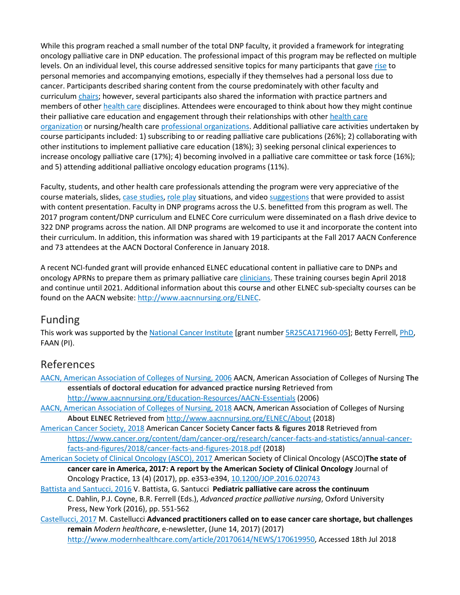While this program reached a small number of the total DNP faculty, it provided a framework for integrating oncology palliative care in DNP education. The professional impact of this program may be reflected on multiple levels. On an individual level, this course addressed sensitive topics for many participants that gave [rise](https://www.sciencedirect.com/topics/nursing-and-health-professions/clotiazepam) to personal memories and accompanying emotions, especially if they themselves had a personal loss due to cancer. Participants described sharing content from the course predominately with other faculty and curriculum [chairs;](https://www.sciencedirect.com/topics/nursing-and-health-professions/chair) however, several participants also shared the information with practice partners and members of other [health care](https://www.sciencedirect.com/topics/nursing-and-health-professions/health-care) disciplines. Attendees were encouraged to think about how they might continue their palliative care education and engagement through their relationships with other [health care](https://www.sciencedirect.com/topics/nursing-and-health-professions/health-care-organization)  [organization](https://www.sciencedirect.com/topics/nursing-and-health-professions/health-care-organization) or nursing/health care [professional organizations.](https://www.sciencedirect.com/topics/nursing-and-health-professions/american-nurses-association) Additional palliative care activities undertaken by course participants included: 1) subscribing to or reading palliative care publications (26%); 2) collaborating with other institutions to implement palliative care education (18%); 3) seeking personal clinical experiences to increase oncology palliative care (17%); 4) becoming involved in a palliative care committee or task force (16%); and 5) attending additional palliative oncology education programs (11%).

Faculty, students, and other health care professionals attending the program were very appreciative of the course materials, slides, [case studies,](https://www.sciencedirect.com/topics/nursing-and-health-professions/case-study) [role play](https://www.sciencedirect.com/topics/nursing-and-health-professions/role-playing) situations, and video [suggestions](https://www.sciencedirect.com/topics/nursing-and-health-professions/suggestion) that were provided to assist with content presentation. Faculty in DNP programs across the U.S. benefitted from this program as well. The 2017 program content/DNP curriculum and ELNEC Core curriculum were disseminated on a flash drive device to 322 DNP programs across the nation. All DNP programs are welcomed to use it and incorporate the content into their curriculum. In addition, this information was shared with 19 participants at the Fall 2017 AACN Conference and 73 attendees at the AACN Doctoral Conference in January 2018.

A recent NCI-funded grant will provide enhanced ELNEC educational content in palliative care to DNPs and oncology APRNs to prepare them as primary palliative care [clinicians.](https://www.sciencedirect.com/topics/nursing-and-health-professions/clinician) These training courses begin April 2018 and continue until 2021. Additional information about this course and other ELNEC sub-specialty courses can be found on the AACN website: [http://www.aacnnursing.org/ELNEC.](http://www.aacnnursing.org/ELNEC)

## Funding

This work was supported by the [National Cancer Institute](https://www.sciencedirect.com/topics/nursing-and-health-professions/national-health-organization) [grant number [5R25CA171960-05\]](https://www.sciencedirect.com/science/article/pii/S875572231830142X?via%3Dihub#gts0005); Betty Ferrell, [PhD,](https://www.sciencedirect.com/topics/nursing-and-health-professions/doctor-of-philosophy) FAAN (PI).

## References

- [AACN, American Association of Colleges of Nursing, 2006](https://www.sciencedirect.com/science/article/pii/S875572231830142X?via%3Dihub#bbb0005) AACN, American Association of Colleges of Nursing **The essentials of doctoral education for advanced practice nursing** Retrieved from <http://www.aacnnursing.org/Education-Resources/AACN-Essentials> (2006)
- [AACN, American Association of Colleges of Nursing, 2018](https://www.sciencedirect.com/science/article/pii/S875572231830142X?via%3Dihub#bbb0010) AACN, American Association of Colleges of Nursing **About ELNEC** Retrieved fro[m http://www.aacnnursing.org/ELNEC/About](http://www.aacnnursing.org/ELNEC/About) (2018)
- [American Cancer Society, 2018](https://www.sciencedirect.com/science/article/pii/S875572231830142X?via%3Dihub#bbb0015) American Cancer Society **Cancer facts & figures 2018** Retrieved from [https://www.cancer.org/content/dam/cancer-org/research/cancer-facts-and-statistics/annual-cancer](https://www.cancer.org/content/dam/cancer-org/research/cancer-facts-and-statistics/annual-cancer-facts-and-figures/2018/cancer-facts-and-figures-2018.pdf)[facts-and-figures/2018/cancer-facts-and-figures-2018.pdf](https://www.cancer.org/content/dam/cancer-org/research/cancer-facts-and-statistics/annual-cancer-facts-and-figures/2018/cancer-facts-and-figures-2018.pdf) (2018)
- [American Society of Clinical Oncology \(ASCO\), 2017](https://www.sciencedirect.com/science/article/pii/S875572231830142X?via%3Dihub#bbb0020) American Society of Clinical Oncology (ASCO)**The state of cancer care in America, 2017: A report by the American Society of Clinical Oncology** Journal of Oncology Practice, 13 (4) (2017), pp. e353-e394, [10.1200/JOP.2016.020743](https://doi.org/10.1200/JOP.2016.020743)
- [Battista and Santucci, 2016](https://www.sciencedirect.com/science/article/pii/S875572231830142X?via%3Dihub#bbb0025) V. Battista, G. Santucci **Pediatric palliative care across the continuum**  C. Dahlin, P.J. Coyne, B.R. Ferrell (Eds.), *Advanced practice palliative nursing*, Oxford University Press, New York (2016), pp. 551-562
- [Castellucci, 2017](https://www.sciencedirect.com/science/article/pii/S875572231830142X?via%3Dihub#bbb0030) M. Castellucci **Advanced practitioners called on to ease cancer care shortage, but challenges remain** *Modern healthcare*, e-newsletter, (June 14, 2017) (2017) [http://www.modernhealthcare.com/article/20170614/NEWS/170619950,](http://www.modernhealthcare.com/article/20170614/NEWS/170619950) Accessed 18th Jul 2018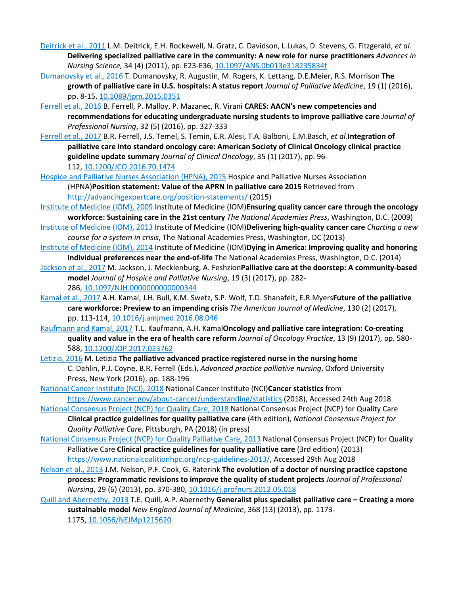- [Deitrick et al., 2011](https://www.sciencedirect.com/science/article/pii/S875572231830142X?via%3Dihub#bbb0035) L.M. Deitrick, E.H. Rockewell, N. Gratz, C. Davidson, L.Lukas, D. Stevens, G. Fitzgerald, *et al.* **Delivering specialized palliative care in the community: A new role for nurse practitioners** *Advances in Nursing Science,* 34 (4) (2011), pp. E23-E36, [10.1097/ANS.0b013e318235834f](https://doi.org/10.1097/ANS.0b013e318235834f)
- [Dumanovsky et al., 2016](https://www.sciencedirect.com/science/article/pii/S875572231830142X?via%3Dihub#bbb0040) T. Dumanovsky, R. Augustin, M. Rogers, K. Lettang, D.E.Meier, R.S. Morrison **The growth of palliative care in U.S. hospitals: A status report** *Journal of Palliative Medicine*, 19 (1) (2016), pp. 8-15, [10.1089/jpm.2015.0351](https://doi.org/10.1089/jpm.2015.0351)
- [Ferrell et al., 2016](https://www.sciencedirect.com/science/article/pii/S875572231830142X?via%3Dihub#bbb0045) B. Ferrell, P. Malloy, P. Mazanec, R. Virani **CARES: AACN's new competencies and recommendations for educating undergraduate nursing students to improve palliative care** *Journal of Professional Nursing*, 32 (5) (2016), pp. 327-333
- [Ferrell et al., 2017](https://www.sciencedirect.com/science/article/pii/S875572231830142X?via%3Dihub#bbb0050) B.R. Ferrell, J.S. Temel, S. Temin, E.R. Alesi, T.A. Balboni, E.M.Basch, *et al.***Integration of palliative care into standard oncology care: American Society of Clinical Oncology clinical practice guideline update summary** *Journal of Clinical Oncology*, 35 (1) (2017), pp. 96- 112, [10.1200/JCO.2016.70.1474](https://doi.org/10.1200/JCO.2016.70.1474)
- [Hospice and Palliative Nurses Association \(HPNA\), 2015](https://www.sciencedirect.com/science/article/pii/S875572231830142X?via%3Dihub#bbb0055) Hospice and Palliative Nurses Association (HPNA)**Position statement: Value of the APRN in palliative care 2015** Retrieved from <http://advancingexpertcare.org/position-statements/> (2015)
- [Institute of Medicine \(IOM\), 2009](https://www.sciencedirect.com/science/article/pii/S875572231830142X?via%3Dihub#bbb0060) Institute of Medicine (IOM)**Ensuring quality cancer care through the oncology workforce: Sustaining care in the 21st century** *The National Academies Press*, Washington, D.C. (2009)
- [Institute of Medicine \(IOM\), 2013](https://www.sciencedirect.com/science/article/pii/S875572231830142X?via%3Dihub#bbb0070) Institute of Medicine (IOM)**Delivering high-quality cancer care** *Charting a new course for a system in crisis*, The National Academies Press, Washington, DC (2013)
- [Institute of Medicine \(IOM\),](https://www.sciencedirect.com/science/article/pii/S875572231830142X?via%3Dihub#bbb0075) 2014 Institute of Medicine (IOM)**Dying in America: Improving quality and honoring individual preferences near the end-of-life** The National Academies Press, Washington, D.C. (2014)
- [Jackson et al., 2017](https://www.sciencedirect.com/science/article/pii/S875572231830142X?via%3Dihub#bbb0080) M. Jackson, J. Mecklenburg, A. Feshzion**Palliative care at the doorstep: A community-based model** *Journal of Hospice and Palliative Nursing*, 19 (3) (2017), pp. 282-
	- 286, [10.1097/NJH.0000000000000344](https://doi.org/10.1097/NJH.0000000000000344)
- [Kamal et al., 2017](https://www.sciencedirect.com/science/article/pii/S875572231830142X?via%3Dihub#bbb0085) A.H. Kamal, J.H. Bull, K.M. Swetz, S.P. Wolf, T.D. Shanafelt, E.R.Myers**Future of the palliative care workforce: Preview to an impending crisis** *The American Journal of Medicine*, 130 (2) (2017), pp. 113-114, [10.1016/j.amjmed.2016.08.046](https://doi.org/10.1016/j.amjmed.2016.08.046)
- [Kaufmann and Kamal, 2017](https://www.sciencedirect.com/science/article/pii/S875572231830142X?via%3Dihub#bbb0090) T.L. Kaufmann, A.H. Kamal**Oncology and palliative care integration: Co-creating quality and value in the era of health care reform** *Journal of Oncology Practice*, 13 (9) (2017), pp. 580- 588, [10.1200/JOP.2017.023762](https://doi.org/10.1200/JOP.2017.023762)
- [Letizia, 2016](https://www.sciencedirect.com/science/article/pii/S875572231830142X?via%3Dihub#bbb0095) M. Letizia **The palliative advanced practice registered nurse in the nursing home** C. Dahlin, P.J. Coyne, B.R. Ferrell (Eds.), *Advanced practice palliative nursing*, Oxford University Press, New York (2016), pp. 188-196
- [National Cancer Institute \(NCI\), 2018](https://www.sciencedirect.com/science/article/pii/S875572231830142X?via%3Dihub#bbb0100) National Cancer Institute (NCI)**Cancer statistics** from <https://www.cancer.gov/about-cancer/understanding/statistics> (2018), Accessed 24th Aug 2018
- [National Consensus Project \(NCP\) for Quality Care, 2018](https://www.sciencedirect.com/science/article/pii/S875572231830142X?via%3Dihub#bbb0105) National Consensus Project (NCP) for Quality Care **Clinical practice guidelines for quality palliative care** (4th edition), *National Consensus Project for Quality Palliative Care*, Pittsburgh, PA (2018) (in press)
- [National Consensus Project \(NCP\) for Quality Palliative Care, 2013](https://www.sciencedirect.com/science/article/pii/S875572231830142X?via%3Dihub#bbb0110) National Consensus Project (NCP) for Quality Palliative Care **Clinical practice guidelines for quality palliative care** (3rd edition) (2013) [https://www.nationalcoalitionhpc.org/ncp-guidelines-2013/,](https://www.nationalcoalitionhpc.org/ncp-guidelines-2013/) Accessed 29th Aug 2018
- [Nelson et al., 2013](https://www.sciencedirect.com/science/article/pii/S875572231830142X?via%3Dihub#bbb0115) J.M. Nelson, P.F. Cook, G. Raterink **The evolution of a doctor of nursing practice capstone process: Programmatic revisions to improve the quality of student projects** *Journal of Professional Nursing*, 29 (6) (2013), pp. 370-380, [10.1016/j.profnurs.2012.05.018](https://doi.org/10.1016/j.profnurs.2012.05.018)
- [Quill and Abernethy, 2013](https://www.sciencedirect.com/science/article/pii/S875572231830142X?via%3Dihub#bbb0120) T.E. Quill, A.P. Abernethy **Generalist plus specialist palliative care – Creating a more sustainable model** *New England Journal of Medicine*, 368 (13) (2013), pp. 1173- 1175, [10.1056/NEJMp1215620](https://doi.org/10.1056/NEJMp1215620)